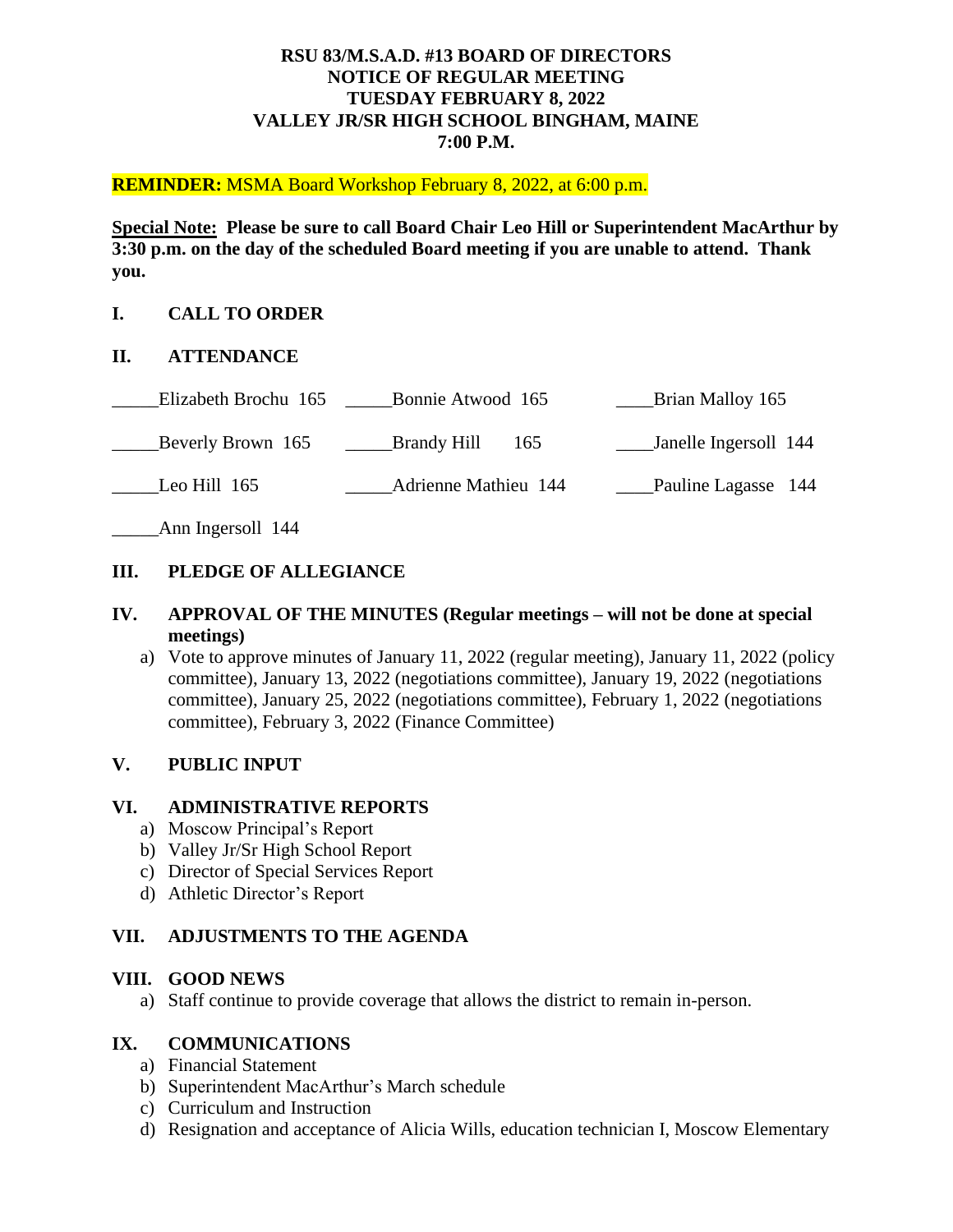# **RSU 83/M.S.A.D. #13 BOARD OF DIRECTORS NOTICE OF REGULAR MEETING TUESDAY FEBRUARY 8, 2022 VALLEY JR/SR HIGH SCHOOL BINGHAM, MAINE 7:00 P.M.**

#### **REMINDER:** MSMA Board Workshop February 8, 2022, at 6:00 p.m.

**Special Note: Please be sure to call Board Chair Leo Hill or Superintendent MacArthur by 3:30 p.m. on the day of the scheduled Board meeting if you are unable to attend. Thank you.**

# **I. CALL TO ORDER**

### **II. ATTENDANCE**

| Elizabeth Brochu 165 | Bonnie Atwood 165           | Brian Malloy 165      |
|----------------------|-----------------------------|-----------------------|
| Beverly Brown 165    | <b>Brandy Hill</b><br>165   | Janelle Ingersoll 144 |
| Leo Hill 165         | <b>Adrienne Mathieu 144</b> | Pauline Lagasse 144   |

\_\_\_\_\_Ann Ingersoll 144

# **III. PLEDGE OF ALLEGIANCE**

# **IV. APPROVAL OF THE MINUTES (Regular meetings – will not be done at special meetings)**

a) Vote to approve minutes of January 11, 2022 (regular meeting), January 11, 2022 (policy committee), January 13, 2022 (negotiations committee), January 19, 2022 (negotiations committee), January 25, 2022 (negotiations committee), February 1, 2022 (negotiations committee), February 3, 2022 (Finance Committee)

# **V. PUBLIC INPUT**

### **VI. ADMINISTRATIVE REPORTS**

- a) Moscow Principal's Report
- b) Valley Jr/Sr High School Report
- c) Director of Special Services Report
- d) Athletic Director's Report

# **VII. ADJUSTMENTS TO THE AGENDA**

### **VIII. GOOD NEWS**

a) Staff continue to provide coverage that allows the district to remain in-person.

## **IX. COMMUNICATIONS**

- a) Financial Statement
- b) Superintendent MacArthur's March schedule
- c) Curriculum and Instruction
- d) Resignation and acceptance of Alicia Wills, education technician I, Moscow Elementary